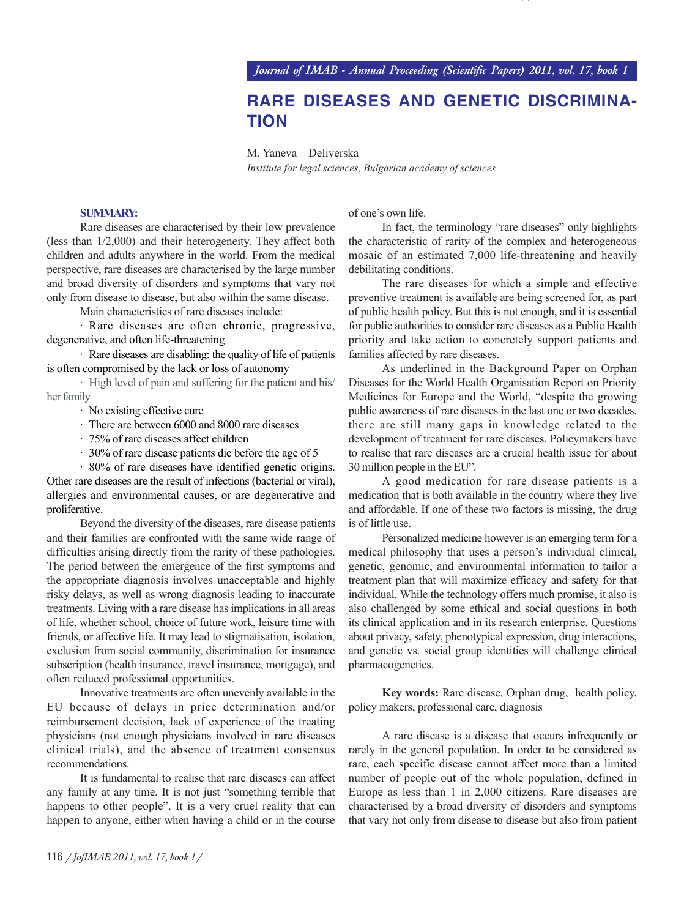## **RARE DISEASES AND GENETIC DISCRIMINA-TION**

M. Yaneva – Deliverska

*Institute for legal sciences, Bulgarian academy of sciences*

## **SUMMARY:**

Rare diseases are characterised by their low prevalence (less than 1/2,000) and their heterogeneity. They affect both children and adults anywhere in the world. From the medical perspective, rare diseases are characterised by the large number and broad diversity of disorders and symptoms that vary not only from disease to disease, but also within the same disease.

Main characteristics of rare diseases include:

· Rare diseases are often chronic, progressive, degenerative, and often life-threatening

· Rare diseases are disabling: the quality of life of patients is often compromised by the lack or loss of autonomy

· High level of pain and suffering for the patient and his/ her family

- · No existing effective cure
- · There are between 6000 and 8000 rare diseases
- · 75% of rare diseases affect children
- · 30% of rare disease patients die before the age of 5

· 80% of rare diseases have identified genetic origins. Other rare diseases are the result of infections (bacterial or viral), allergies and environmental causes, or are degenerative and proliferative.

Beyond the diversity of the diseases, rare disease patients and their families are confronted with the same wide range of difficulties arising directly from the rarity of these pathologies. The period between the emergence of the first symptoms and the appropriate diagnosis involves unacceptable and highly risky delays, as well as wrong diagnosis leading to inaccurate treatments. Living with a rare disease has implications in all areas of life, whether school, choice of future work, leisure time with friends, or affective life. It may lead to stigmatisation, isolation, exclusion from social community, discrimination for insurance subscription (health insurance, travel insurance, mortgage), and often reduced professional opportunities.

Innovative treatments are often unevenly available in the EU because of delays in price determination and/or reimbursement decision, lack of experience of the treating physicians (not enough physicians involved in rare diseases clinical trials), and the absence of treatment consensus recommendations.

It is fundamental to realise that rare diseases can affect any family at any time. It is not just "something terrible that happens to other people". It is a very cruel reality that can happen to anyone, either when having a child or in the course of one's own life.

In fact, the terminology "rare diseases" only highlights the characteristic of rarity of the complex and heterogeneous mosaic of an estimated 7,000 life-threatening and heavily debilitating conditions.

/j

The rare diseases for which a simple and effective preventive treatment is available are being screened for, as part of public health policy. But this is not enough, and it is essential for public authorities to consider rare diseases as a Public Health priority and take action to concretely support patients and families affected by rare diseases.

As underlined in the Background Paper on Orphan Diseases for the World Health Organisation Report on Priority Medicines for Europe and the World, "despite the growing public awareness of rare diseases in the last one or two decades, there are still many gaps in knowledge related to the development of treatment for rare diseases. Policymakers have to realise that rare diseases are a crucial health issue for about 30 million people in the EU".

A good medication for rare disease patients is a medication that is both available in the country where they live and affordable. If one of these two factors is missing, the drug is of little use.

Personalized medicine however is an emerging term for a medical philosophy that uses a person's individual clinical, genetic, genomic, and environmental information to tailor a treatment plan that will maximize efficacy and safety for that individual. While the technology offers much promise, it also is also challenged by some ethical and social questions in both its clinical application and in its research enterprise. Questions about privacy, safety, phenotypical expression, drug interactions, and genetic vs. social group identities will challenge clinical pharmacogenetics.

**Key words:** Rare disease, Orphan drug, health policy, policy makers, professional care, diagnosis

A rare disease is a disease that occurs infrequently or rarely in the general population. In order to be considered as rare, each specific disease cannot affect more than a limited number of people out of the whole population, defined in Europe as less than 1 in 2,000 citizens. Rare diseases are characterised by a broad diversity of disorders and symptoms that vary not only from disease to disease but also from patient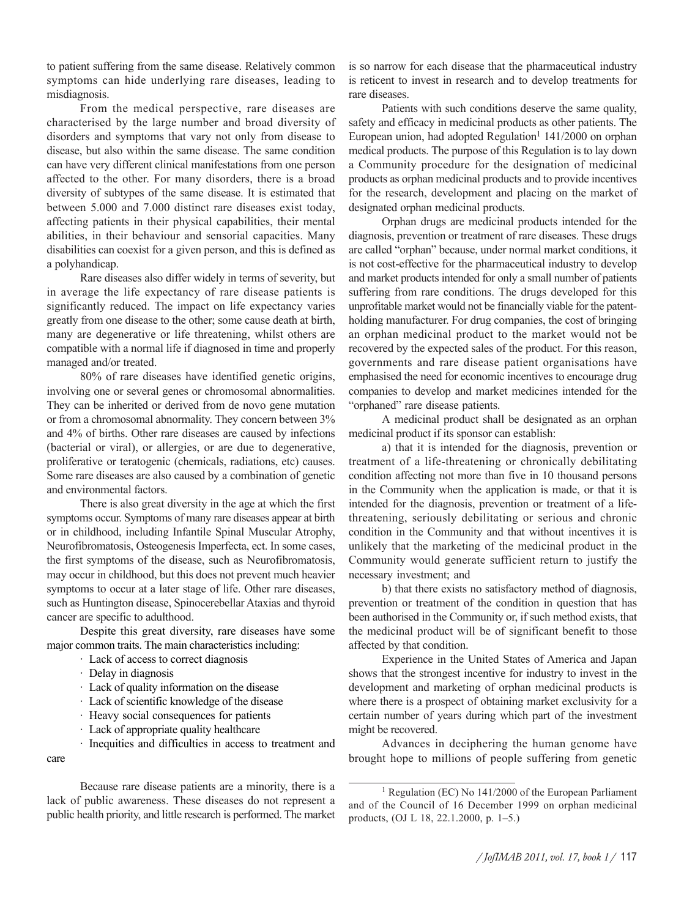to patient suffering from the same disease. Relatively common symptoms can hide underlying rare diseases, leading to misdiagnosis.

From the medical perspective, rare diseases are characterised by the large number and broad diversity of disorders and symptoms that vary not only from disease to disease, but also within the same disease. The same condition can have very different clinical manifestations from one person affected to the other. For many disorders, there is a broad diversity of subtypes of the same disease. It is estimated that between 5.000 and 7.000 distinct rare diseases exist today, affecting patients in their physical capabilities, their mental abilities, in their behaviour and sensorial capacities. Many disabilities can coexist for a given person, and this is defined as a polyhandicap.

Rare diseases also differ widely in terms of severity, but in average the life expectancy of rare disease patients is significantly reduced. The impact on life expectancy varies greatly from one disease to the other; some cause death at birth, many are degenerative or life threatening, whilst others are compatible with a normal life if diagnosed in time and properly managed and/or treated.

80% of rare diseases have identified genetic origins, involving one or several genes or chromosomal abnormalities. They can be inherited or derived from de novo gene mutation or from a chromosomal abnormality. They concern between 3% and 4% of births. Other rare diseases are caused by infections (bacterial or viral), or allergies, or are due to degenerative, proliferative or teratogenic (chemicals, radiations, etc) causes. Some rare diseases are also caused by a combination of genetic and environmental factors.

There is also great diversity in the age at which the first symptoms occur. Symptoms of many rare diseases appear at birth or in childhood, including Infantile Spinal Muscular Atrophy, Neurofibromatosis, Osteogenesis Imperfecta, ect. In some cases, the first symptoms of the disease, such as Neurofibromatosis, may occur in childhood, but this does not prevent much heavier symptoms to occur at a later stage of life. Other rare diseases, such as Huntington disease, Spinocerebellar Ataxias and thyroid cancer are specific to adulthood.

Despite this great diversity, rare diseases have some major common traits. The main characteristics including:

- · Lack of access to correct diagnosis
- · Delay in diagnosis
- · Lack of quality information on the disease
- · Lack of scientific knowledge of the disease
- · Heavy social consequences for patients
- · Lack of appropriate quality healthcare

· Inequities and difficulties in access to treatment and care

Because rare disease patients are a minority, there is a lack of public awareness. These diseases do not represent a public health priority, and little research is performed. The market is so narrow for each disease that the pharmaceutical industry is reticent to invest in research and to develop treatments for rare diseases.

Patients with such conditions deserve the same quality, safety and efficacy in medicinal products as other patients. The European union, had adopted Regulation<sup>1</sup> 141/2000 on orphan medical products. The purpose of this Regulation is to lay down a Community procedure for the designation of medicinal products as orphan medicinal products and to provide incentives for the research, development and placing on the market of designated orphan medicinal products.

Orphan drugs are medicinal products intended for the diagnosis, prevention or treatment of rare diseases. These drugs are called "orphan" because, under normal market conditions, it is not cost-effective for the pharmaceutical industry to develop and market products intended for only a small number of patients suffering from rare conditions. The drugs developed for this unprofitable market would not be financially viable for the patentholding manufacturer. For drug companies, the cost of bringing an orphan medicinal product to the market would not be recovered by the expected sales of the product. For this reason, governments and rare disease patient organisations have emphasised the need for economic incentives to encourage drug companies to develop and market medicines intended for the "orphaned" rare disease patients.

A medicinal product shall be designated as an orphan medicinal product if its sponsor can establish:

a) that it is intended for the diagnosis, prevention or treatment of a life-threatening or chronically debilitating condition affecting not more than five in 10 thousand persons in the Community when the application is made, or that it is intended for the diagnosis, prevention or treatment of a lifethreatening, seriously debilitating or serious and chronic condition in the Community and that without incentives it is unlikely that the marketing of the medicinal product in the Community would generate sufficient return to justify the necessary investment; and

b) that there exists no satisfactory method of diagnosis, prevention or treatment of the condition in question that has been authorised in the Community or, if such method exists, that the medicinal product will be of significant benefit to those affected by that condition.

Experience in the United States of America and Japan shows that the strongest incentive for industry to invest in the development and marketing of orphan medicinal products is where there is a prospect of obtaining market exclusivity for a certain number of years during which part of the investment might be recovered.

Advances in deciphering the human genome have brought hope to millions of people suffering from genetic

<sup>1</sup> Regulation (EC) No 141/2000 of the European Parliament and of the Council of 16 December 1999 on orphan medicinal products, (OJ L 18, 22.1.2000, p. 1–5.)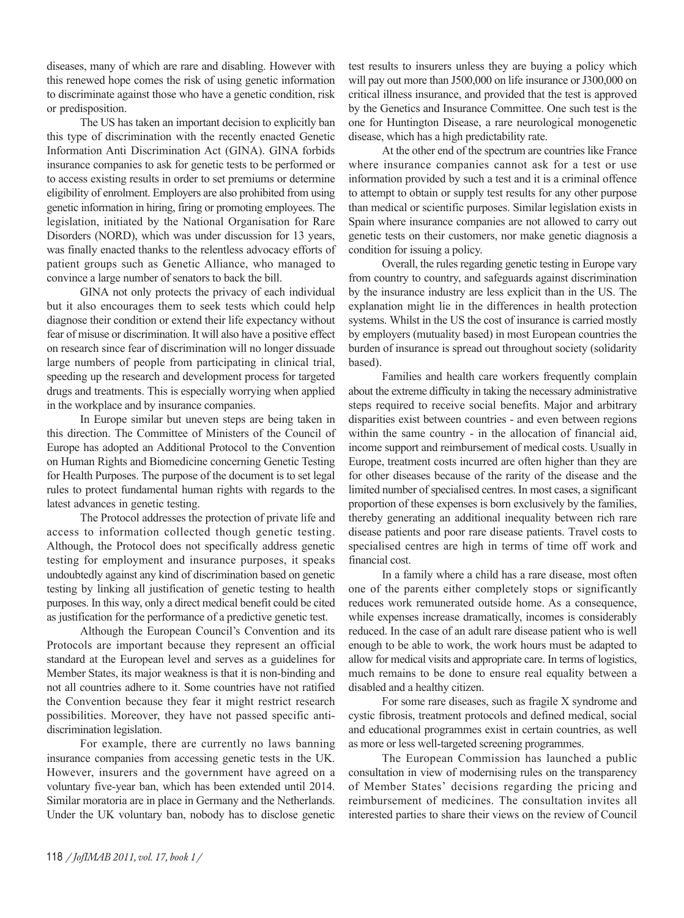diseases, many of which are rare and disabling. However with this renewed hope comes the risk of using genetic information to discriminate against those who have a genetic condition, risk or predisposition.

The US has taken an important decision to explicitly ban this type of discrimination with the recently enacted Genetic Information Anti Discrimination Act (GINA). GINA forbids insurance companies to ask for genetic tests to be performed or to access existing results in order to set premiums or determine eligibility of enrolment. Employers are also prohibited from using genetic information in hiring, firing or promoting employees. The legislation, initiated by the National Organisation for Rare Disorders (NORD), which was under discussion for 13 years, was finally enacted thanks to the relentless advocacy efforts of patient groups such as Genetic Alliance, who managed to convince a large number of senators to back the bill.

GINA not only protects the privacy of each individual but it also encourages them to seek tests which could help diagnose their condition or extend their life expectancy without fear of misuse or discrimination. It will also have a positive effect on research since fear of discrimination will no longer dissuade large numbers of people from participating in clinical trial, speeding up the research and development process for targeted drugs and treatments. This is especially worrying when applied in the workplace and by insurance companies.

In Europe similar but uneven steps are being taken in this direction. The Committee of Ministers of the Council of Europe has adopted an Additional Protocol to the Convention on Human Rights and Biomedicine concerning Genetic Testing for Health Purposes. The purpose of the document is to set legal rules to protect fundamental human rights with regards to the latest advances in genetic testing.

The Protocol addresses the protection of private life and access to information collected though genetic testing. Although, the Protocol does not specifically address genetic testing for employment and insurance purposes, it speaks undoubtedly against any kind of discrimination based on genetic testing by linking all justification of genetic testing to health purposes. In this way, only a direct medical benefit could be cited as justification for the performance of a predictive genetic test.

Although the European Council's Convention and its Protocols are important because they represent an official standard at the European level and serves as a guidelines for Member States, its major weakness is that it is non-binding and not all countries adhere to it. Some countries have not ratified the Convention because they fear it might restrict research possibilities. Moreover, they have not passed specific antidiscrimination legislation.

For example, there are currently no laws banning insurance companies from accessing genetic tests in the UK. However, insurers and the government have agreed on a voluntary five-year ban, which has been extended until 2014. Similar moratoria are in place in Germany and the Netherlands. Under the UK voluntary ban, nobody has to disclose genetic

test results to insurers unless they are buying a policy which will pay out more than J500,000 on life insurance or J300,000 on critical illness insurance, and provided that the test is approved by the Genetics and Insurance Committee. One such test is the one for Huntington Disease, a rare neurological monogenetic disease, which has a high predictability rate.

At the other end of the spectrum are countries like France where insurance companies cannot ask for a test or use information provided by such a test and it is a criminal offence to attempt to obtain or supply test results for any other purpose than medical or scientific purposes. Similar legislation exists in Spain where insurance companies are not allowed to carry out genetic tests on their customers, nor make genetic diagnosis a condition for issuing a policy.

Overall, the rules regarding genetic testing in Europe vary from country to country, and safeguards against discrimination by the insurance industry are less explicit than in the US. The explanation might lie in the differences in health protection systems. Whilst in the US the cost of insurance is carried mostly by employers (mutuality based) in most European countries the burden of insurance is spread out throughout society (solidarity based).

Families and health care workers frequently complain about the extreme difficulty in taking the necessary administrative steps required to receive social benefits. Major and arbitrary disparities exist between countries - and even between regions within the same country - in the allocation of financial aid, income support and reimbursement of medical costs. Usually in Europe, treatment costs incurred are often higher than they are for other diseases because of the rarity of the disease and the limited number of specialised centres. In most cases, a significant proportion of these expenses is born exclusively by the families, thereby generating an additional inequality between rich rare disease patients and poor rare disease patients. Travel costs to specialised centres are high in terms of time off work and financial cost.

In a family where a child has a rare disease, most often one of the parents either completely stops or significantly reduces work remunerated outside home. As a consequence, while expenses increase dramatically, incomes is considerably reduced. In the case of an adult rare disease patient who is well enough to be able to work, the work hours must be adapted to allow for medical visits and appropriate care. In terms of logistics, much remains to be done to ensure real equality between a disabled and a healthy citizen.

For some rare diseases, such as fragile X syndrome and cystic fibrosis, treatment protocols and defined medical, social and educational programmes exist in certain countries, as well as more or less well-targeted screening programmes.

The European Commission has launched a public consultation in view of modernising rules on the transparency of Member States' decisions regarding the pricing and reimbursement of medicines. The consultation invites all interested parties to share their views on the review of Council